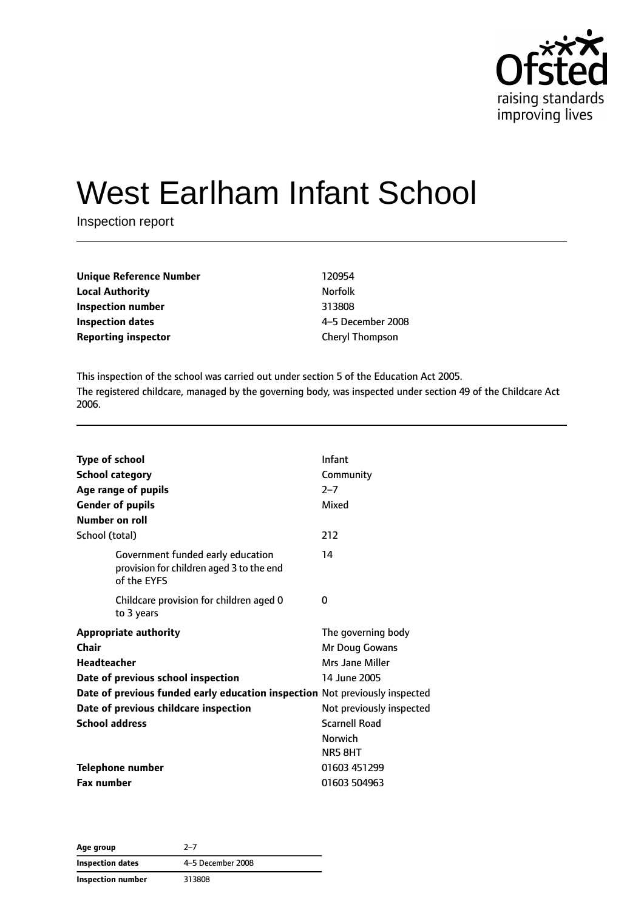

# West Earlham Infant School

Inspection report

| Unique Reference Number | 120954            |
|-------------------------|-------------------|
| Local Authority         | <b>Norfolk</b>    |
| Inspection number       | 313808            |
| Inspection dates        | 4-5 December 2008 |
| Reporting inspector     | Cheryl Thompson   |
|                         |                   |

This inspection of the school was carried out under section 5 of the Education Act 2005. The registered childcare, managed by the governing body, was inspected under section 49 of the Childcare Act 2006.

| <b>Type of school</b> |                                                                                              | Infant                   |
|-----------------------|----------------------------------------------------------------------------------------------|--------------------------|
|                       | <b>School category</b>                                                                       | Community                |
|                       | Age range of pupils                                                                          | $2 - 7$                  |
|                       | <b>Gender of pupils</b>                                                                      | Mixed                    |
| Number on roll        |                                                                                              |                          |
| School (total)        |                                                                                              | 212                      |
|                       | Government funded early education<br>provision for children aged 3 to the end<br>of the EYFS | 14                       |
|                       | Childcare provision for children aged 0<br>to 3 years                                        | 0                        |
|                       | <b>Appropriate authority</b>                                                                 | The governing body       |
| Chair                 |                                                                                              | Mr Doug Gowans           |
| <b>Headteacher</b>    |                                                                                              | Mrs Jane Miller          |
|                       | Date of previous school inspection                                                           | 14 June 2005             |
|                       | Date of previous funded early education inspection Not previously inspected                  |                          |
|                       | Date of previous childcare inspection                                                        | Not previously inspected |
| <b>School address</b> |                                                                                              | <b>Scarnell Road</b>     |
|                       |                                                                                              | <b>Norwich</b>           |
|                       |                                                                                              | NR5 8HT                  |
|                       | <b>Telephone number</b>                                                                      | 01603 451299             |
| <b>Fax number</b>     |                                                                                              | 01603 504963             |

**Age group** 2–7 **Inspection dates** 4–5 December 2008 **Inspection number** 313808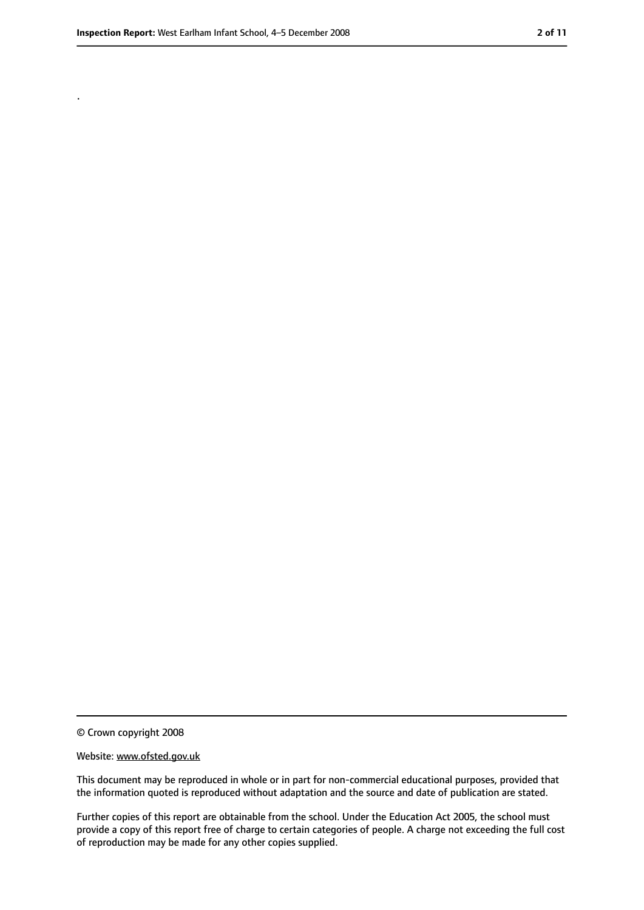.

<sup>©</sup> Crown copyright 2008

Website: www.ofsted.gov.uk

This document may be reproduced in whole or in part for non-commercial educational purposes, provided that the information quoted is reproduced without adaptation and the source and date of publication are stated.

Further copies of this report are obtainable from the school. Under the Education Act 2005, the school must provide a copy of this report free of charge to certain categories of people. A charge not exceeding the full cost of reproduction may be made for any other copies supplied.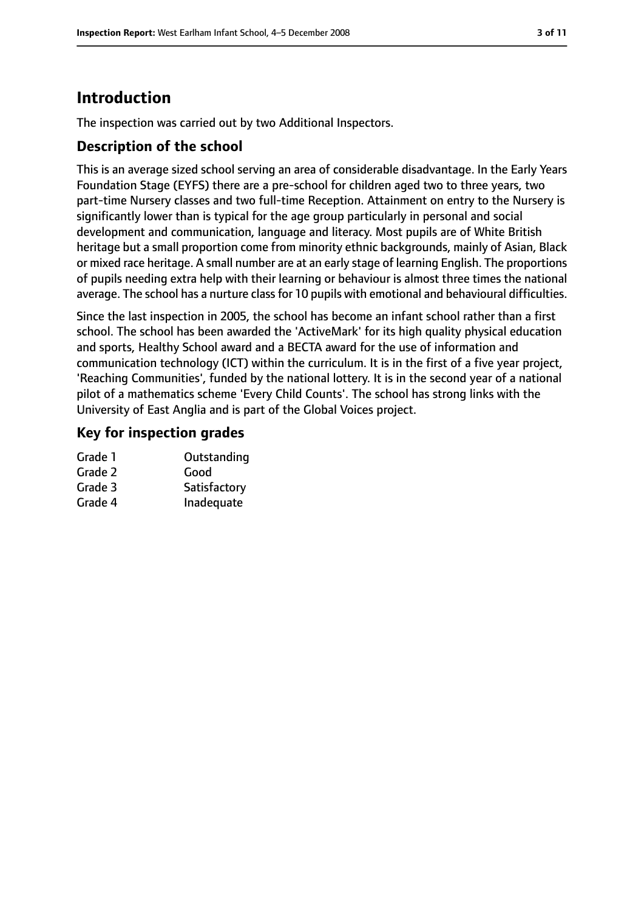### **Introduction**

The inspection was carried out by two Additional Inspectors.

#### **Description of the school**

This is an average sized school serving an area of considerable disadvantage. In the Early Years Foundation Stage (EYFS) there are a pre-school for children aged two to three years, two part-time Nursery classes and two full-time Reception. Attainment on entry to the Nursery is significantly lower than is typical for the age group particularly in personal and social development and communication, language and literacy. Most pupils are of White British heritage but a small proportion come from minority ethnic backgrounds, mainly of Asian, Black or mixed race heritage. A small number are at an early stage of learning English. The proportions of pupils needing extra help with their learning or behaviour is almost three times the national average. The school has a nurture class for 10 pupils with emotional and behavioural difficulties.

Since the last inspection in 2005, the school has become an infant school rather than a first school. The school has been awarded the 'ActiveMark' for its high quality physical education and sports, Healthy School award and a BECTA award for the use of information and communication technology (ICT) within the curriculum. It is in the first of a five year project, 'Reaching Communities', funded by the national lottery. It is in the second year of a national pilot of a mathematics scheme 'Every Child Counts'. The school has strong links with the University of East Anglia and is part of the Global Voices project.

#### **Key for inspection grades**

| Outstanding  |
|--------------|
| Good         |
| Satisfactory |
| Inadequate   |
|              |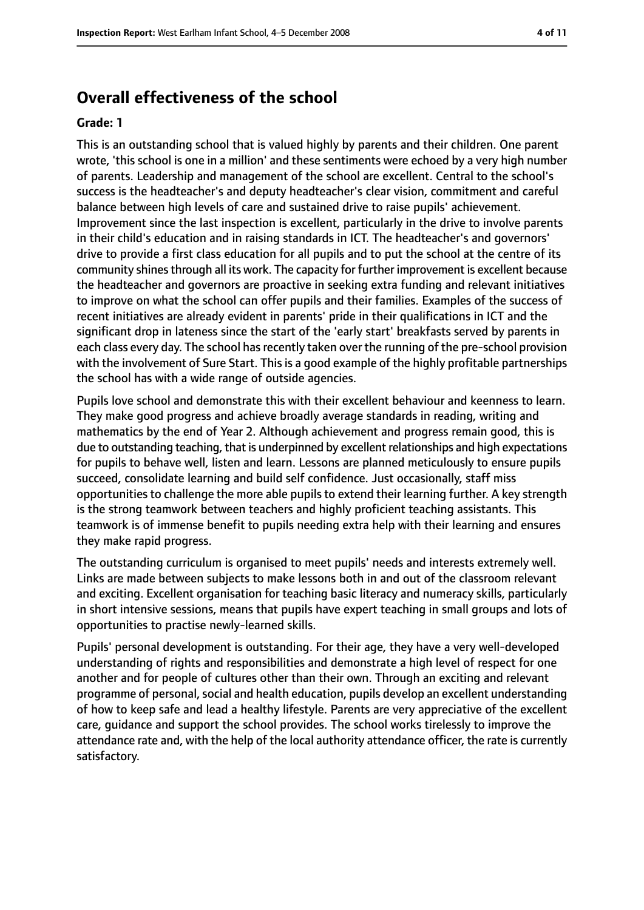### **Overall effectiveness of the school**

#### **Grade: 1**

This is an outstanding school that is valued highly by parents and their children. One parent wrote, 'this school is one in a million' and these sentiments were echoed by a very high number of parents. Leadership and management of the school are excellent. Central to the school's success is the headteacher's and deputy headteacher's clear vision, commitment and careful balance between high levels of care and sustained drive to raise pupils' achievement. Improvement since the last inspection is excellent, particularly in the drive to involve parents in their child's education and in raising standards in ICT. The headteacher's and governors' drive to provide a first class education for all pupils and to put the school at the centre of its community shines through all its work. The capacity for further improvement is excellent because the headteacher and governors are proactive in seeking extra funding and relevant initiatives to improve on what the school can offer pupils and their families. Examples of the success of recent initiatives are already evident in parents' pride in their qualifications in ICT and the significant drop in lateness since the start of the 'early start' breakfasts served by parents in each class every day. The school has recently taken over the running of the pre-school provision with the involvement of Sure Start. This is a good example of the highly profitable partnerships the school has with a wide range of outside agencies.

Pupils love school and demonstrate this with their excellent behaviour and keenness to learn. They make good progress and achieve broadly average standards in reading, writing and mathematics by the end of Year 2. Although achievement and progress remain good, this is due to outstanding teaching, that is underpinned by excellent relationships and high expectations for pupils to behave well, listen and learn. Lessons are planned meticulously to ensure pupils succeed, consolidate learning and build self confidence. Just occasionally, staff miss opportunities to challenge the more able pupils to extend their learning further. A key strength is the strong teamwork between teachers and highly proficient teaching assistants. This teamwork is of immense benefit to pupils needing extra help with their learning and ensures they make rapid progress.

The outstanding curriculum is organised to meet pupils' needs and interests extremely well. Links are made between subjects to make lessons both in and out of the classroom relevant and exciting. Excellent organisation for teaching basic literacy and numeracy skills, particularly in short intensive sessions, means that pupils have expert teaching in small groups and lots of opportunities to practise newly-learned skills.

Pupils' personal development is outstanding. For their age, they have a very well-developed understanding of rights and responsibilities and demonstrate a high level of respect for one another and for people of cultures other than their own. Through an exciting and relevant programme of personal, social and health education, pupils develop an excellent understanding of how to keep safe and lead a healthy lifestyle. Parents are very appreciative of the excellent care, guidance and support the school provides. The school works tirelessly to improve the attendance rate and, with the help of the local authority attendance officer, the rate is currently satisfactory.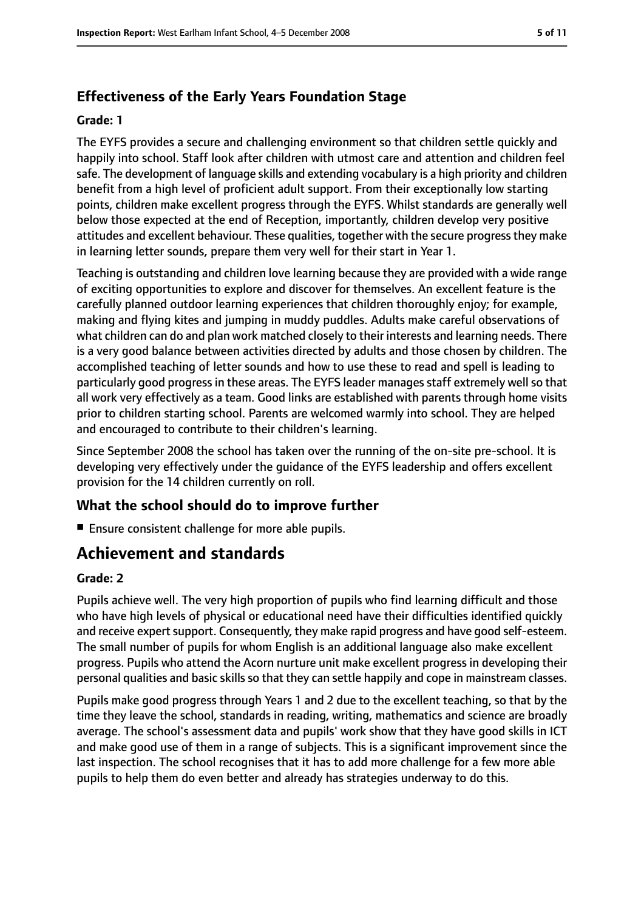### **Effectiveness of the Early Years Foundation Stage**

#### **Grade: 1**

The EYFS provides a secure and challenging environment so that children settle quickly and happily into school. Staff look after children with utmost care and attention and children feel safe. The development of language skills and extending vocabulary is a high priority and children benefit from a high level of proficient adult support. From their exceptionally low starting points, children make excellent progress through the EYFS. Whilst standards are generally well below those expected at the end of Reception, importantly, children develop very positive attitudes and excellent behaviour. These qualities, together with the secure progressthey make in learning letter sounds, prepare them very well for their start in Year 1.

Teaching is outstanding and children love learning because they are provided with a wide range of exciting opportunities to explore and discover for themselves. An excellent feature is the carefully planned outdoor learning experiences that children thoroughly enjoy; for example, making and flying kites and jumping in muddy puddles. Adults make careful observations of what children can do and plan work matched closely to their interests and learning needs. There is a very good balance between activities directed by adults and those chosen by children. The accomplished teaching of letter sounds and how to use these to read and spell is leading to particularly good progress in these areas. The EYFS leader manages staff extremely well so that all work very effectively as a team. Good links are established with parents through home visits prior to children starting school. Parents are welcomed warmly into school. They are helped and encouraged to contribute to their children's learning.

Since September 2008 the school has taken over the running of the on-site pre-school. It is developing very effectively under the guidance of the EYFS leadership and offers excellent provision for the 14 children currently on roll.

### **What the school should do to improve further**

■ Ensure consistent challenge for more able pupils.

### **Achievement and standards**

#### **Grade: 2**

Pupils achieve well. The very high proportion of pupils who find learning difficult and those who have high levels of physical or educational need have their difficulties identified quickly and receive expert support. Consequently, they make rapid progress and have good self-esteem. The small number of pupils for whom English is an additional language also make excellent progress. Pupils who attend the Acorn nurture unit make excellent progress in developing their personal qualities and basic skills so that they can settle happily and cope in mainstream classes.

Pupils make good progress through Years 1 and 2 due to the excellent teaching, so that by the time they leave the school, standards in reading, writing, mathematics and science are broadly average. The school's assessment data and pupils' work show that they have good skills in ICT and make good use of them in a range of subjects. This is a significant improvement since the last inspection. The school recognises that it has to add more challenge for a few more able pupils to help them do even better and already has strategies underway to do this.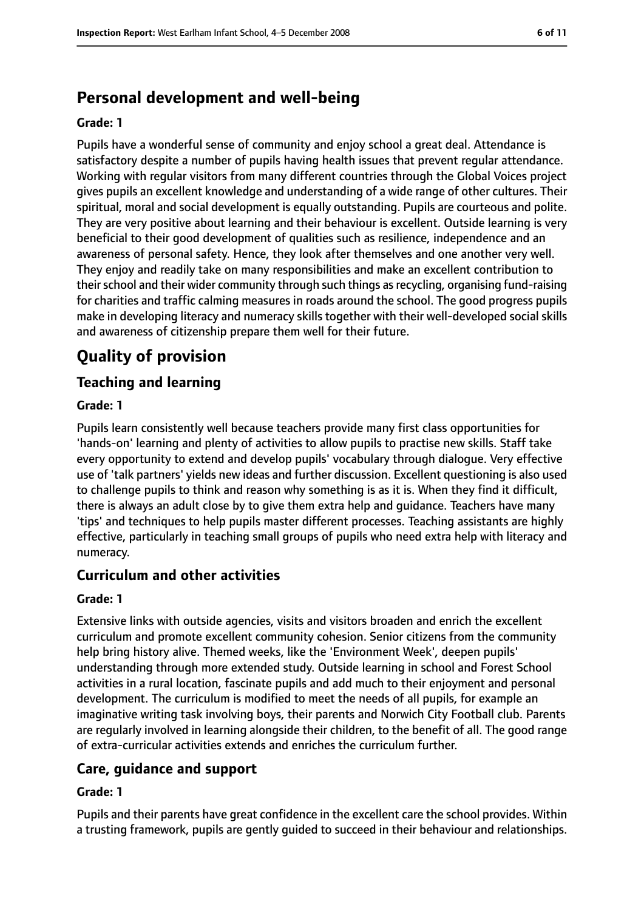### **Personal development and well-being**

#### **Grade: 1**

Pupils have a wonderful sense of community and enjoy school a great deal. Attendance is satisfactory despite a number of pupils having health issues that prevent regular attendance. Working with regular visitors from many different countries through the Global Voices project gives pupils an excellent knowledge and understanding of a wide range of other cultures. Their spiritual, moral and social development is equally outstanding. Pupils are courteous and polite. They are very positive about learning and their behaviour is excellent. Outside learning is very beneficial to their good development of qualities such as resilience, independence and an awareness of personal safety. Hence, they look after themselves and one another very well. They enjoy and readily take on many responsibilities and make an excellent contribution to their school and their wider community through such things as recycling, organising fund-raising for charities and traffic calming measures in roads around the school. The good progress pupils make in developing literacy and numeracy skills together with their well-developed social skills and awareness of citizenship prepare them well for their future.

### **Quality of provision**

#### **Teaching and learning**

#### **Grade: 1**

Pupils learn consistently well because teachers provide many first class opportunities for 'hands-on' learning and plenty of activities to allow pupils to practise new skills. Staff take every opportunity to extend and develop pupils' vocabulary through dialogue. Very effective use of 'talk partners' yields new ideas and further discussion. Excellent questioning is also used to challenge pupils to think and reason why something is as it is. When they find it difficult, there is always an adult close by to give them extra help and guidance. Teachers have many 'tips' and techniques to help pupils master different processes. Teaching assistants are highly effective, particularly in teaching small groups of pupils who need extra help with literacy and numeracy.

#### **Curriculum and other activities**

#### **Grade: 1**

Extensive links with outside agencies, visits and visitors broaden and enrich the excellent curriculum and promote excellent community cohesion. Senior citizens from the community help bring history alive. Themed weeks, like the 'Environment Week', deepen pupils' understanding through more extended study. Outside learning in school and Forest School activities in a rural location, fascinate pupils and add much to their enjoyment and personal development. The curriculum is modified to meet the needs of all pupils, for example an imaginative writing task involving boys, their parents and Norwich City Football club. Parents are regularly involved in learning alongside their children, to the benefit of all. The good range of extra-curricular activities extends and enriches the curriculum further.

#### **Care, guidance and support**

#### **Grade: 1**

Pupils and their parents have great confidence in the excellent care the school provides. Within a trusting framework, pupils are gently guided to succeed in their behaviour and relationships.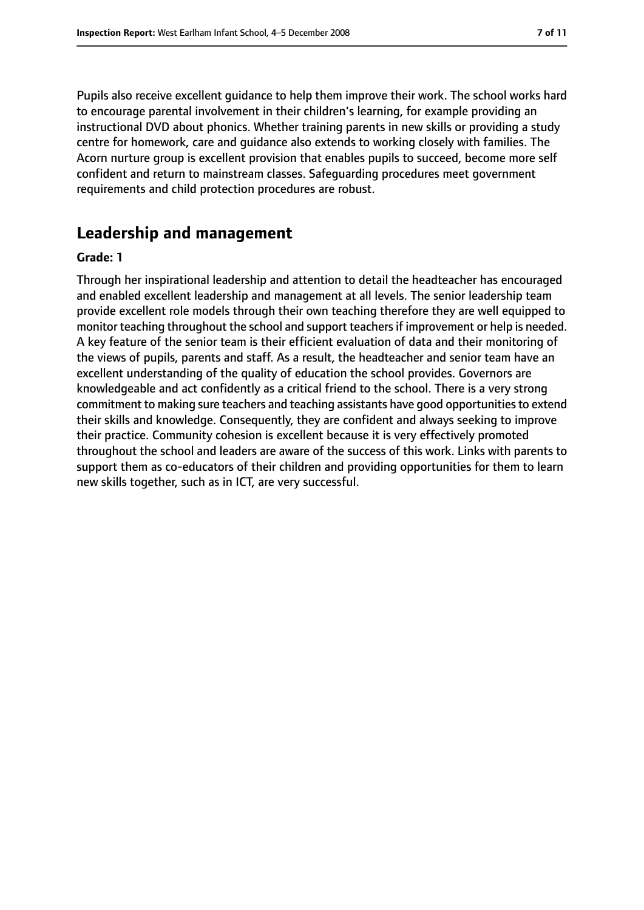Pupils also receive excellent guidance to help them improve their work. The school works hard to encourage parental involvement in their children's learning, for example providing an instructional DVD about phonics. Whether training parents in new skills or providing a study centre for homework, care and guidance also extends to working closely with families. The Acorn nurture group is excellent provision that enables pupils to succeed, become more self confident and return to mainstream classes. Safeguarding procedures meet government requirements and child protection procedures are robust.

#### **Leadership and management**

#### **Grade: 1**

Through her inspirational leadership and attention to detail the headteacher has encouraged and enabled excellent leadership and management at all levels. The senior leadership team provide excellent role models through their own teaching therefore they are well equipped to monitor teaching throughout the school and support teachersif improvement or help is needed. A key feature of the senior team is their efficient evaluation of data and their monitoring of the views of pupils, parents and staff. As a result, the headteacher and senior team have an excellent understanding of the quality of education the school provides. Governors are knowledgeable and act confidently as a critical friend to the school. There is a very strong commitment to making sure teachers and teaching assistants have good opportunities to extend their skills and knowledge. Consequently, they are confident and always seeking to improve their practice. Community cohesion is excellent because it is very effectively promoted throughout the school and leaders are aware of the success of this work. Links with parents to support them as co-educators of their children and providing opportunities for them to learn new skills together, such as in ICT, are very successful.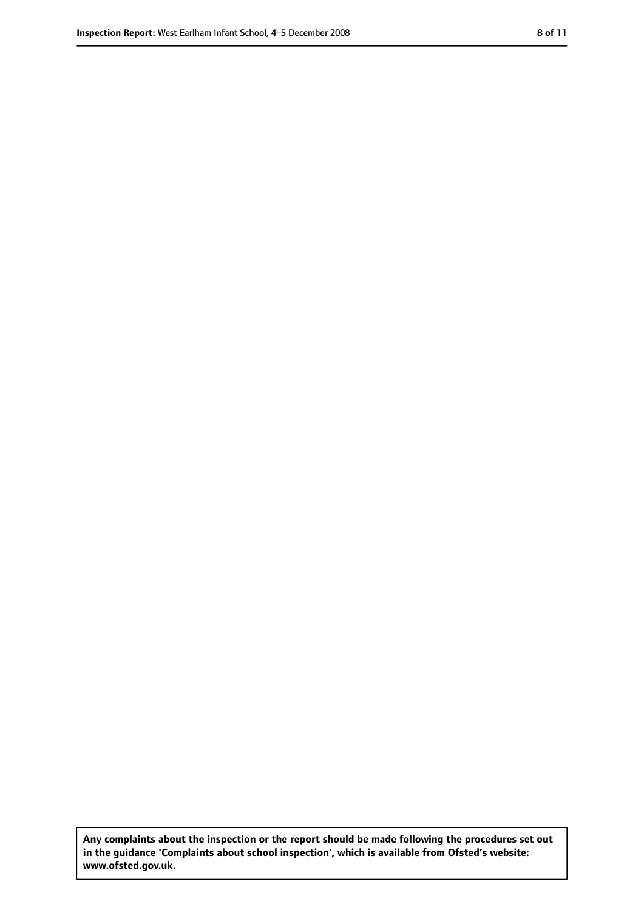**Any complaints about the inspection or the report should be made following the procedures set out in the guidance 'Complaints about school inspection', which is available from Ofsted's website: www.ofsted.gov.uk.**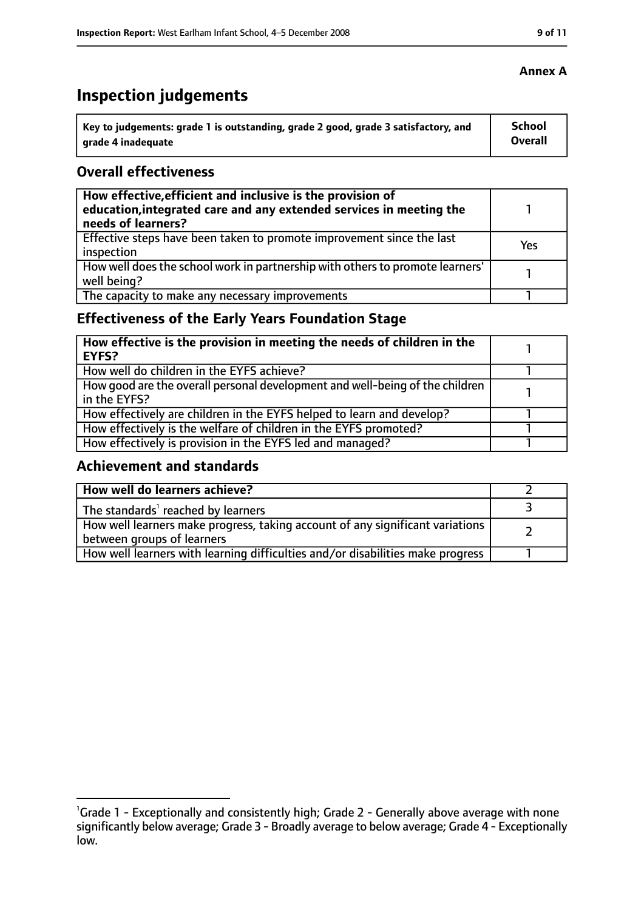## **Inspection judgements**

| Key to judgements: grade 1 is outstanding, grade 2 good, grade 3 satisfactory, and | School  |
|------------------------------------------------------------------------------------|---------|
| arade 4 inadequate                                                                 | Overall |

#### **Overall effectiveness**

| How effective, efficient and inclusive is the provision of<br>education, integrated care and any extended services in meeting the<br>needs of learners? |     |
|---------------------------------------------------------------------------------------------------------------------------------------------------------|-----|
| Effective steps have been taken to promote improvement since the last<br>inspection                                                                     | Yes |
| How well does the school work in partnership with others to promote learners'<br>well being?                                                            |     |
| The capacity to make any necessary improvements                                                                                                         |     |

### **Effectiveness of the Early Years Foundation Stage**

| How effective is the provision in meeting the needs of children in the<br><b>EYFS?</b>       |  |
|----------------------------------------------------------------------------------------------|--|
| How well do children in the EYFS achieve?                                                    |  |
| How good are the overall personal development and well-being of the children<br>in the EYFS? |  |
| How effectively are children in the EYFS helped to learn and develop?                        |  |
| How effectively is the welfare of children in the EYFS promoted?                             |  |
| How effectively is provision in the EYFS led and managed?                                    |  |

### **Achievement and standards**

| How well do learners achieve?                                                  |  |
|--------------------------------------------------------------------------------|--|
| The standards <sup>1</sup> reached by learners                                 |  |
| How well learners make progress, taking account of any significant variations  |  |
| between groups of learners                                                     |  |
| How well learners with learning difficulties and/or disabilities make progress |  |

### **Annex A**

<sup>&</sup>lt;sup>1</sup>Grade 1 - Exceptionally and consistently high; Grade 2 - Generally above average with none significantly below average; Grade 3 - Broadly average to below average; Grade 4 - Exceptionally low.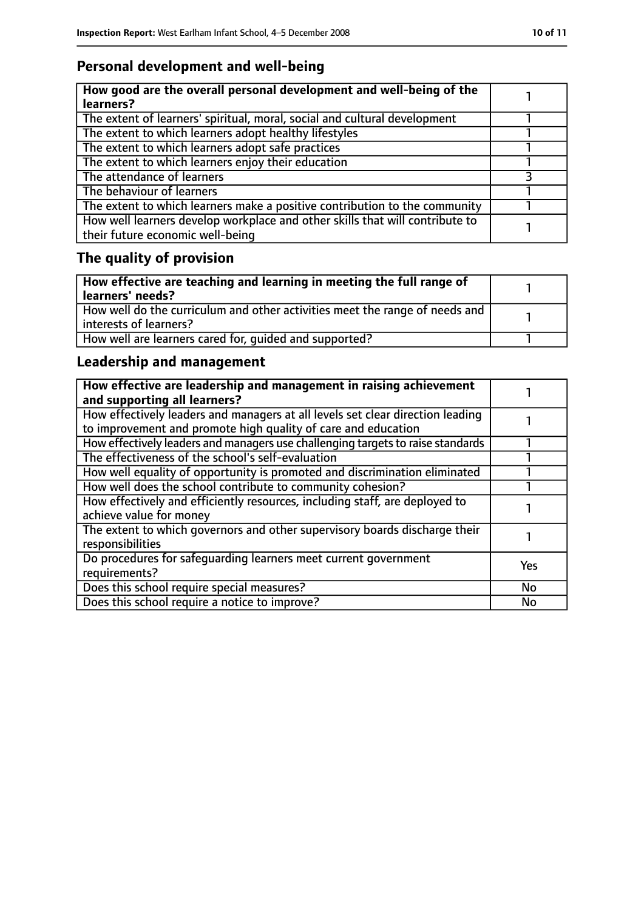### **Personal development and well-being**

| How good are the overall personal development and well-being of the<br>learners?                                 |  |
|------------------------------------------------------------------------------------------------------------------|--|
| The extent of learners' spiritual, moral, social and cultural development                                        |  |
| The extent to which learners adopt healthy lifestyles                                                            |  |
| The extent to which learners adopt safe practices                                                                |  |
| The extent to which learners enjoy their education                                                               |  |
| The attendance of learners                                                                                       |  |
| The behaviour of learners                                                                                        |  |
| The extent to which learners make a positive contribution to the community                                       |  |
| How well learners develop workplace and other skills that will contribute to<br>their future economic well-being |  |

## **The quality of provision**

| $\mid$ How effective are teaching and learning in meeting the full range of<br>  learners' needs?       |  |
|---------------------------------------------------------------------------------------------------------|--|
| How well do the curriculum and other activities meet the range of needs and<br>  interests of learners? |  |
| How well are learners cared for, quided and supported?                                                  |  |

### **Leadership and management**

| How effective are leadership and management in raising achievement<br>and supporting all learners?                                              |           |
|-------------------------------------------------------------------------------------------------------------------------------------------------|-----------|
| How effectively leaders and managers at all levels set clear direction leading<br>to improvement and promote high quality of care and education |           |
| How effectively leaders and managers use challenging targets to raise standards                                                                 |           |
| The effectiveness of the school's self-evaluation                                                                                               |           |
| How well equality of opportunity is promoted and discrimination eliminated                                                                      |           |
| How well does the school contribute to community cohesion?                                                                                      |           |
| How effectively and efficiently resources, including staff, are deployed to<br>achieve value for money                                          |           |
| The extent to which governors and other supervisory boards discharge their<br>responsibilities                                                  |           |
| Do procedures for safequarding learners meet current government<br>requirements?                                                                | Yes       |
| Does this school require special measures?                                                                                                      | <b>No</b> |
| Does this school require a notice to improve?                                                                                                   | <b>No</b> |